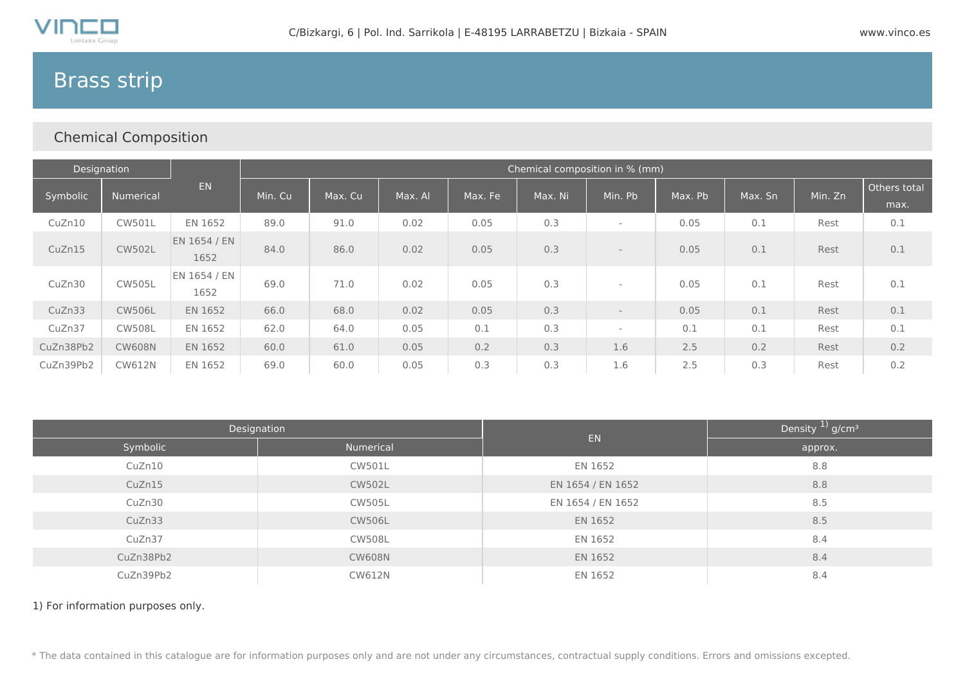

# Brass strip

## Chemical Composition

| Designation |               |                      | Chemical composition in % (mm) |         |         |         |         |                          |         |         |         |                      |
|-------------|---------------|----------------------|--------------------------------|---------|---------|---------|---------|--------------------------|---------|---------|---------|----------------------|
| Symbolic    | Numerical     | <b>EN</b>            | Min. Cu                        | Max. Cu | Max. Al | Max. Fe | Max. Ni | Min. Pb                  | Max. Pb | Max. Sn | Min. Zn | Others total<br>max. |
| CuZn10      | <b>CW501L</b> | EN 1652              | 89.0                           | 91.0    | 0.02    | 0.05    | 0.3     | $\overline{\phantom{a}}$ | 0.05    | 0.1     | Rest    | 0.1                  |
| CuZn15      | <b>CW502L</b> | EN 1654 / EN<br>1652 | 84.0                           | 86.0    | 0.02    | 0.05    | 0.3     | $\overline{\phantom{a}}$ | 0.05    | 0.1     | Rest    | 0.1                  |
| CuZn30      | <b>CW505L</b> | EN 1654 / EN<br>1652 | 69.0                           | 71.0    | 0.02    | 0.05    | 0.3     | ٠                        | 0.05    | 0.1     | Rest    | 0.1                  |
| CuZn33      | <b>CW506L</b> | EN 1652              | 66.0                           | 68.0    | 0.02    | 0.05    | 0.3     | $\overline{\phantom{a}}$ | 0.05    | 0.1     | Rest    | 0.1                  |
| CuZn37      | <b>CW508L</b> | EN 1652              | 62.0                           | 64.0    | 0.05    | 0.1     | 0.3     | ٠                        | 0.1     | 0.1     | Rest    | 0.1                  |
| CuZn38Pb2   | <b>CW608N</b> | EN 1652              | 60.0                           | 61.0    | 0.05    | 0.2     | 0.3     | 1.6                      | 2.5     | 0.2     | Rest    | 0.2                  |
| CuZn39Pb2   | <b>CW612N</b> | EN 1652              | 69.0                           | 60.0    | 0.05    | 0.3     | 0.3     | 1.6                      | 2.5     | 0.3     | Rest    | 0.2                  |

|           | Designation   | <b>EN</b>         | Density $1/2$ g/cm <sup>3</sup> |  |  |
|-----------|---------------|-------------------|---------------------------------|--|--|
| Symbolic  | Numerical     |                   | approx.                         |  |  |
| CuZn10    | CW501L        | EN 1652           | 8.8                             |  |  |
| CuZn15    | <b>CW502L</b> | EN 1654 / EN 1652 | 8.8                             |  |  |
| CuZn30    | <b>CW505L</b> | EN 1654 / EN 1652 | 8.5                             |  |  |
| CuZn33    | <b>CW506L</b> | EN 1652           | 8.5                             |  |  |
| CuZn37    | <b>CW508L</b> | EN 1652           | 8.4                             |  |  |
| CuZn38Pb2 | <b>CW608N</b> | EN 1652           | 8.4                             |  |  |
| CuZn39Pb2 | <b>CW612N</b> | EN 1652           | 8.4                             |  |  |

1) For information purposes only.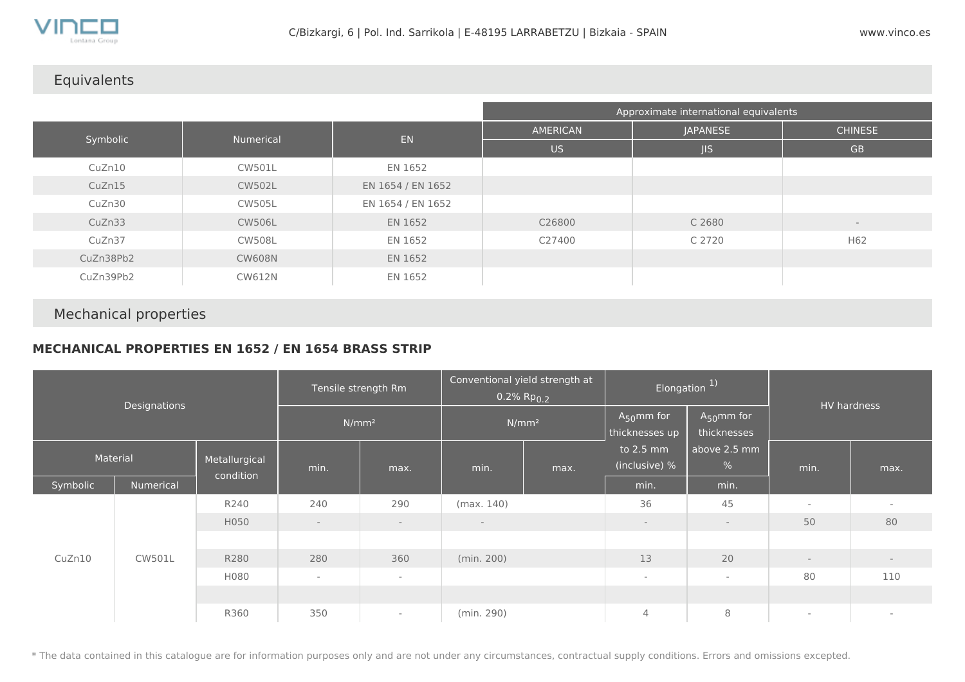

## Equivalents

|           |               |                   | Approximate international equivalents |                 |                          |  |  |  |  |
|-----------|---------------|-------------------|---------------------------------------|-----------------|--------------------------|--|--|--|--|
|           | Numerical     | EN                | AMERICAN                              | <b>JAPANESE</b> | <b>CHINESE</b>           |  |  |  |  |
| Symbolic  |               |                   | <b>US</b>                             | JIS             | <b>GB</b>                |  |  |  |  |
| CuZn10    | <b>CW501L</b> | EN 1652           |                                       |                 |                          |  |  |  |  |
| CuZn15    | <b>CW502L</b> | EN 1654 / EN 1652 |                                       |                 |                          |  |  |  |  |
| CuZn30    | <b>CW505L</b> | EN 1654 / EN 1652 |                                       |                 |                          |  |  |  |  |
| CuZn33    | <b>CW506L</b> | EN 1652           | C26800                                | C 2680          | $\overline{\phantom{a}}$ |  |  |  |  |
| CuZn37    | <b>CW508L</b> | EN 1652           | C27400                                | C 2720          | H62                      |  |  |  |  |
| CuZn38Pb2 | <b>CW608N</b> | EN 1652           |                                       |                 |                          |  |  |  |  |
| CuZn39Pb2 | <b>CW612N</b> | EN 1652           |                                       |                 |                          |  |  |  |  |

## Mechanical properties

## **MECHANICAL PROPERTIES EN 1652 / EN 1654 BRASS STRIP**

| Designations |               | Tensile strength Rm        |                          | Conventional yield strength at<br>$0.2\%$ Rp $_{0.2}$ |            | Elongation <sup>1)</sup>                                            |                            | HV hardness                |                          |        |
|--------------|---------------|----------------------------|--------------------------|-------------------------------------------------------|------------|---------------------------------------------------------------------|----------------------------|----------------------------|--------------------------|--------|
|              |               | N/mm <sup>2</sup>          |                          | N/mm <sup>2</sup>                                     |            | $A_{50}$ mm for<br>$A_{50}$ mm for<br>thicknesses<br>thicknesses up |                            |                            |                          |        |
| Material     |               | Metallurgical<br>condition | min.                     | max.                                                  | min.       | max.                                                                | to 2.5 mm<br>(inclusive) % | above 2.5 mm<br>$\sqrt{6}$ | min.                     | max.   |
| Symbolic     | Numerical     |                            |                          |                                                       |            |                                                                     | min.                       | min.                       |                          |        |
|              |               | R240                       | 240                      | 290                                                   | (max. 140) |                                                                     | 36                         | 45                         | $\sim$                   | $\sim$ |
|              |               | H050                       | $-$                      | $\overline{\phantom{a}}$                              | $\sim$     |                                                                     | $\overline{\phantom{a}}$   | $\sim$                     | 50                       | 80     |
|              |               |                            |                          |                                                       |            |                                                                     |                            |                            |                          |        |
| CuZn10       | <b>CW501L</b> | R280                       | 280                      | 360                                                   | (min. 200) |                                                                     | 13                         | 20                         | $-$                      | $-$    |
|              |               | H080                       | $\overline{\phantom{a}}$ | $\sim$                                                |            |                                                                     | $\sim$                     | $\sim$                     | 80                       | 110    |
|              |               |                            |                          |                                                       |            |                                                                     |                            |                            |                          |        |
|              |               | R360                       | 350                      | $\sim$                                                | (min. 290) |                                                                     | 4                          | 8                          | $\overline{\phantom{a}}$ | $\sim$ |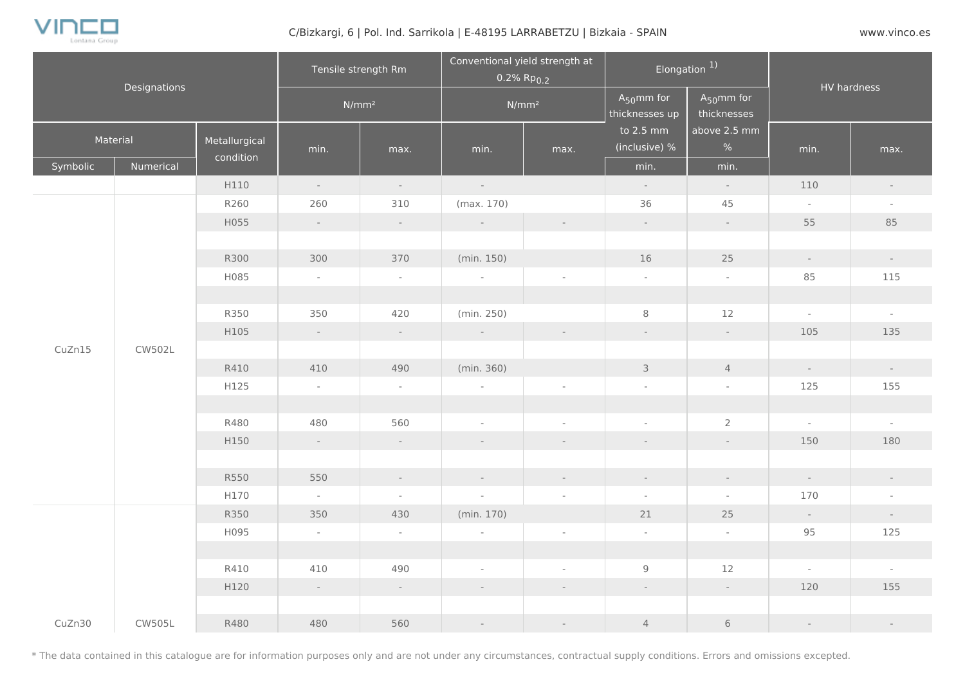

#### C/Bizkargi, 6 | Pol. Ind. Sarrikola | E-48195 LARRABETZU | Bizkaia - SPAIN WWW.vinco.es

| Designations     |               | Tensile strength Rm        |                          |                          | Conventional yield strength at<br>$0.2\%$ Rp $_{0.2}$ |                                   | Elongation <sup>1)</sup>       |                             | HV hardness              |                             |
|------------------|---------------|----------------------------|--------------------------|--------------------------|-------------------------------------------------------|-----------------------------------|--------------------------------|-----------------------------|--------------------------|-----------------------------|
|                  |               |                            | $N/mm^2$                 | $N/mm^2$                 |                                                       | $A_{50}$ mm for<br>thicknesses up | $A_{50}$ mm for<br>thicknesses |                             |                          |                             |
|                  | Material      | Metallurgical<br>condition | min.                     | max.                     | min.                                                  | max.                              | to 2.5 mm<br>(inclusive) %     | above 2.5 mm<br>%           | min.                     | max.                        |
| Symbolic         | Numerical     |                            |                          |                          |                                                       |                                   | min.                           | min.                        |                          |                             |
|                  |               | H110                       | $\sim$                   | $\sim$                   | $\sim$                                                |                                   | $\sim$                         | $\sim$                      | 110                      | $\sim$                      |
|                  |               | R260                       | 260                      | 310                      | (max. 170)                                            |                                   | 36                             | 45                          | $\sim$                   | $\sim$                      |
|                  |               | H055                       | $\sim$                   | $\sim$                   | $\sim$                                                |                                   | $\mathcal{L}^{\pm}$            | $\sim$                      | 55                       | 85                          |
|                  |               |                            |                          |                          |                                                       |                                   |                                |                             |                          |                             |
|                  |               | R300                       | 300                      | 370                      | (min. 150)                                            |                                   | 16                             | 25                          | $\overline{\phantom{a}}$ | $\pm$                       |
|                  |               | H085                       | $\overline{\phantom{a}}$ | $\sim$                   | $\overline{\phantom{a}}$                              |                                   | $\sim$                         | $\sim$                      | 85                       | 115                         |
| CuZn15<br>CW502L |               |                            |                          |                          |                                                       |                                   |                                |                             |                          |                             |
|                  |               | R350                       | 350                      | 420                      | (min. 250)                                            |                                   | $\,8\,$                        | 12                          | $\mathcal{L}$            | $\omega$                    |
|                  |               | H105                       | $\sim$                   | $\sim$                   | $\pm$                                                 |                                   | $\overline{\phantom{a}}$       | $\sim$                      | 105                      | 135                         |
|                  |               |                            |                          |                          |                                                       |                                   |                                |                             |                          |                             |
|                  |               | R410                       | 410                      | 490                      | (min. 360)                                            |                                   | $\mathcal{E}$                  | $\overline{4}$              | $\sim$                   | $\sim$                      |
|                  |               | H125                       | $\sim$                   | $\sim$                   | $\overline{\phantom{a}}$                              |                                   | $\overline{\phantom{a}}$       | $\overline{\phantom{a}}$    | 125                      | 155                         |
|                  |               |                            |                          |                          |                                                       |                                   |                                |                             |                          |                             |
|                  |               | R480                       | 480                      | 560                      | $\sim$                                                | $\overline{\phantom{a}}$          | $\overline{\phantom{a}}$       | $\overline{2}$              | $\bar{\gamma}$           | $\sim$                      |
|                  |               | H150                       | $\omega_{\rm{eff}}$      | $\sim$                   | $\overline{\phantom{a}}$                              | $\frac{1}{2}$                     |                                | $\overline{\phantom{a}}$    | 150                      | 180                         |
|                  |               |                            |                          |                          |                                                       |                                   |                                |                             |                          |                             |
|                  |               | R550                       | 550                      | $\mathcal{L}$            | $\sim$                                                | $\sim$                            | $\mathcal{L}_{\mathcal{A}}$    | $\mathcal{L}_{\mathcal{A}}$ | $\mathcal{L}$            | $\mathcal{L}^{\mathcal{L}}$ |
|                  |               | H170                       | $\sim$                   | $\overline{\phantom{a}}$ | $\sim$                                                | $\overline{\phantom{a}}$          | $\overline{\phantom{a}}$       | $\sim$                      | 170                      | $\overline{\phantom{a}}$    |
|                  |               | R350                       | 350                      | 430                      | (min. 170)                                            |                                   | 21                             | 25                          | $\sim$                   | $\overline{\phantom{a}}$    |
|                  |               | H095                       | $\sim$                   | $\sim$                   | $\overline{\phantom{a}}$                              | $\bar{a}$                         | $\overline{\phantom{a}}$       | $\sim$                      | 95                       | 125                         |
|                  |               |                            |                          |                          |                                                       |                                   |                                |                             |                          |                             |
|                  |               | R410                       | 410                      | 490                      | $\sim$                                                | $\overline{\phantom{a}}$          | $9\,$                          | 12                          | $\sim$                   | $\sim$                      |
|                  |               | H120                       | $\sim$                   | $\sim$                   | ÷                                                     | $\overline{\phantom{a}}$          | $\mathcal{L}^{\pm}$            | $\sim$                      | 120                      | 155                         |
|                  |               |                            |                          |                          |                                                       |                                   |                                |                             |                          |                             |
| CuZn30           | <b>CW505L</b> | R480                       | 480                      | 560                      | $\sim$                                                | $\overline{\phantom{a}}$          | $\overline{4}$                 | $\,$ $\,$ $\,$              | $\overline{\phantom{a}}$ | $\mathcal{L}$               |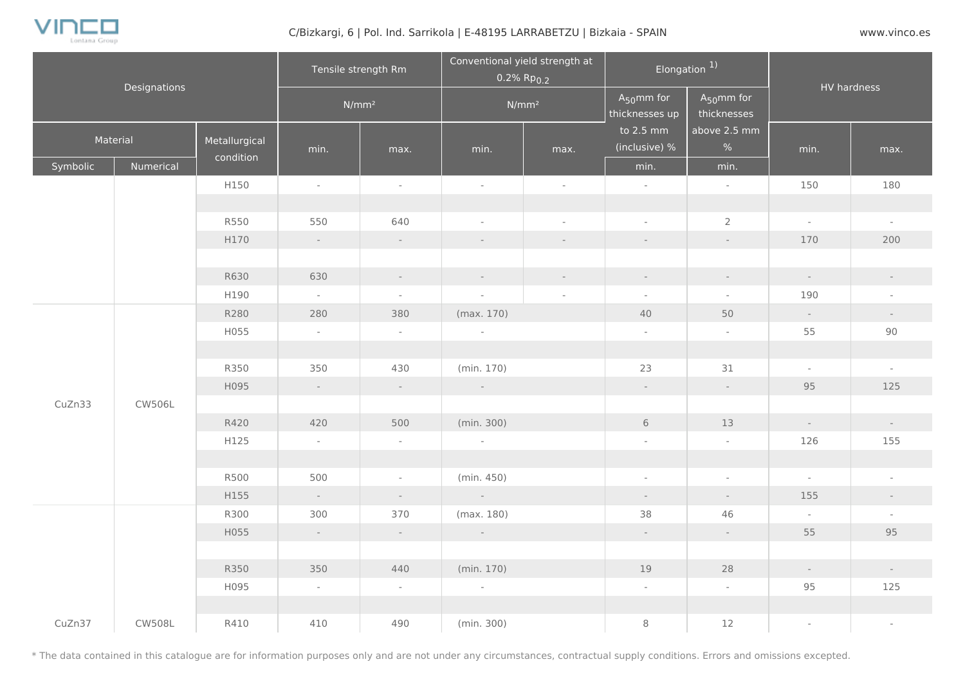

#### C/Bizkargi, 6 | Pol. Ind. Sarrikola | E-48195 LARRABETZU | Bizkaia - SPAIN WWW.vinco.es

| Designations |               | Tensile strength Rm        |                | Conventional yield strength at<br>$0.2\%$ Rp <sub>0.2</sub> |                          | Elongation $1$ |                                             | HV hardness                    |                          |                          |
|--------------|---------------|----------------------------|----------------|-------------------------------------------------------------|--------------------------|----------------|---------------------------------------------|--------------------------------|--------------------------|--------------------------|
|              |               |                            |                | $N/mm^2$                                                    | $N/mm^2$                 |                | $A_5$ <sub>0</sub> mm for<br>thicknesses up | $A_{50}$ mm for<br>thicknesses |                          |                          |
| Material     |               | Metallurgical<br>condition | min.           | max.                                                        | min.                     | max.           | to 2.5 mm<br>(inclusive) %                  | above 2.5 mm<br>%              | min.                     | max.                     |
| Symbolic     | Numerical     |                            |                |                                                             |                          |                | min.                                        | min.                           |                          |                          |
|              |               | H150                       | $\sim$         | $\overline{\phantom{a}}$                                    | $\omega$                 | $\sim$         | $\omega$                                    | $\omega$                       | 150                      | 180                      |
|              |               |                            |                |                                                             |                          |                |                                             |                                |                          |                          |
|              |               | R550                       | 550            | 640                                                         | $\overline{\phantom{a}}$ | $\sim$         | $\overline{\phantom{a}}$                    | $\overline{2}$                 | $\sim$                   | $\sim$                   |
|              |               | H170                       | $\sim$ $^{-1}$ | $\sim$                                                      | $\sim$                   | $\sim$         | $\sim$                                      | $\sim$                         | 170                      | 200                      |
|              |               |                            |                |                                                             |                          |                |                                             |                                |                          |                          |
|              |               | R630                       | 630            | $\mathcal{L}$                                               | $\sim$                   | $\sim$         | $\mathcal{L}^{\pm}$                         | $\sim$                         | $\sim$                   | $\sim$                   |
|              |               | H190                       | $\sim$         | $\overline{\phantom{a}}$                                    | $\bar{\phantom{a}}$      | $\sim$         | $\overline{\phantom{a}}$                    | $\sim$                         | 190                      | $\sim$                   |
|              |               | R280                       | 280            | 380                                                         | (max. 170)               |                | 40                                          | 50                             | $\sim$                   | $\sim$                   |
|              |               | H055                       | $\sim$         | $\sim$                                                      | $\sim$                   |                | $\overline{\phantom{a}}$                    | $\sim$                         | 55                       | 90                       |
|              |               |                            |                |                                                             |                          |                |                                             |                                |                          |                          |
|              |               | R350                       | 350            | 430                                                         | (min. 170)               |                | 23                                          | 31                             | $\mathcal{L}$            | $\sim$                   |
|              |               | H095                       | $\sim$         | $\sim$                                                      | $\sim$                   |                | $\sim$                                      | $\sim$                         | 95                       | 125                      |
| CuZn33       | CW506L        |                            |                |                                                             |                          |                |                                             |                                |                          |                          |
|              |               | R420                       | 420            | 500                                                         | (min. 300)               |                | $6\,$                                       | 13                             | $\sim$                   | $\sim$                   |
|              |               | H125                       | $\sim$         | $\sim$                                                      | $\sim$                   |                | $\overline{\phantom{a}}$                    | $\overline{\phantom{a}}$       | 126                      | 155                      |
|              |               |                            |                |                                                             |                          |                |                                             |                                |                          |                          |
|              |               | R500                       | 500            | $\overline{\phantom{a}}$                                    | (min.450)                |                | $\bar{\phantom{a}}$                         | $\overline{\phantom{a}}$       | $\sim$                   | $\overline{\phantom{a}}$ |
|              |               | H155                       | $\sim$         | $\sim$                                                      | $\sim 10^{-10}$          |                | $\sim$                                      | $\sim$                         | 155                      | $\sim$                   |
|              |               | R300                       | 300            | 370                                                         | (max. 180)               |                | 38                                          | 46                             | $\sim$                   | $\sim$                   |
|              |               | H055                       | $\sim$         | $\sim$                                                      | $\sim 10^{-11}$          |                | $\mathcal{L}^{\pm}$                         | $\omega_{\rm{eff}}$            | 55                       | 95                       |
|              |               |                            |                |                                                             |                          |                |                                             |                                |                          |                          |
|              |               | R350                       | 350            | 440                                                         | (min. 170)               |                | 19                                          | 28                             | $\overline{\phantom{a}}$ | $\sim$                   |
|              |               | H095                       | $\sim$         | $\sim$                                                      | $\sim$                   |                | $\overline{\phantom{a}}$                    | $\sim$                         | 95                       | 125                      |
|              |               |                            |                |                                                             |                          |                |                                             |                                |                          |                          |
| CuZn37       | <b>CW508L</b> | R410                       | 410            | 490                                                         | (min. 300)               |                | 8                                           | 12                             | $\sim$                   | $\overline{\phantom{a}}$ |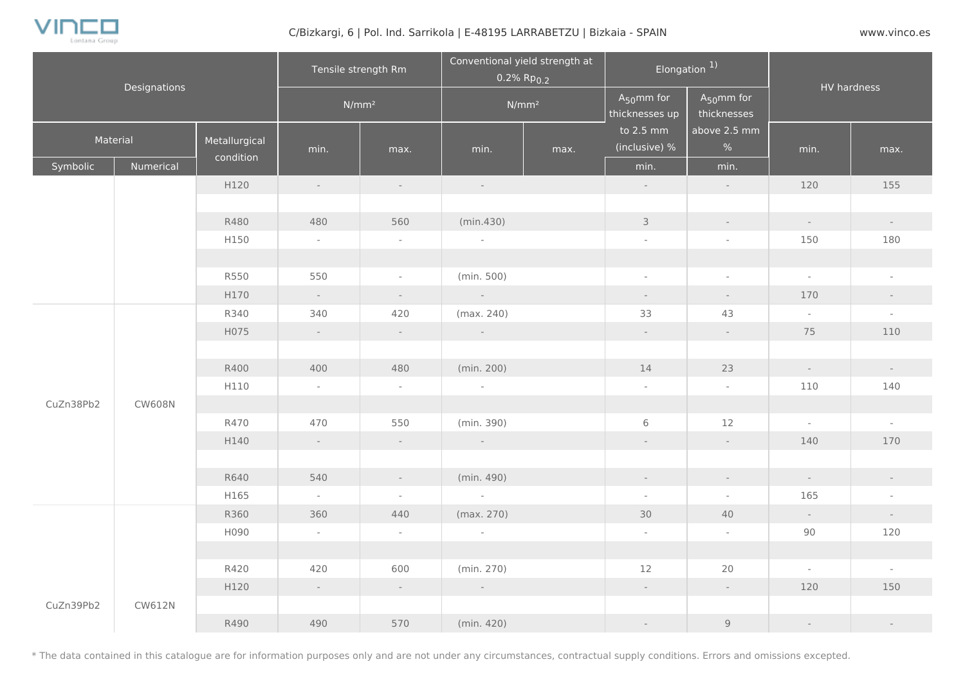

#### C/Bizkargi, 6 | Pol. Ind. Sarrikola | E-48195 LARRABETZU | Bizkaia - SPAIN WWW.vinco.es

| Designations |               | Tensile strength Rm        |                |                          | Conventional yield strength at<br>$0.2\%$ Rp <sub>0.2</sub> |          | Elongation <sup>1)</sup>          |                                | HV hardness   |                     |
|--------------|---------------|----------------------------|----------------|--------------------------|-------------------------------------------------------------|----------|-----------------------------------|--------------------------------|---------------|---------------------|
|              |               |                            |                | $N/mm^2$                 |                                                             | $N/mm^2$ | $A_{50}$ mm for<br>thicknesses up | $A_{50}$ mm for<br>thicknesses |               |                     |
| Material     |               | Metallurgical<br>condition | min.           | max.                     | min.                                                        | max.     | to 2.5 mm<br>(inclusive) %        | above 2.5 mm<br>%              | min.          | max.                |
| Symbolic     | Numerical     |                            |                |                          |                                                             |          | min.                              | min.                           |               |                     |
|              |               | H120                       | $\sim$         | $\sim$                   | $\sim$                                                      |          | $\sim$                            | $\sim$                         | 120           | 155                 |
|              |               |                            |                |                          |                                                             |          |                                   |                                |               |                     |
|              |               | R480                       | 480            | 560                      | (min.430)                                                   |          | $\mathcal{E}$                     | $\sim$                         | $\sim$        | $\mathcal{L}^{\pm}$ |
|              |               | H150                       | $\sim$         | $\sim$                   | $\omega$                                                    |          | $\sim$                            | $\overline{\phantom{a}}$       | 150           | 180                 |
|              |               |                            |                |                          |                                                             |          |                                   |                                |               |                     |
|              |               | R550                       | 550            | $\sim$                   | (min. 500)                                                  |          | $\omega$                          | $\sim$                         | $\sim$        | $\omega$            |
|              |               | H170                       | $\sim$ $^{-1}$ | $\omega_{\rm c}$         | $\sim 10^{-1}$                                              |          | $\omega_{\rm c}$                  | $\sim$                         | 170           | $\sim$              |
|              |               | R340                       | 340            | 420                      | (max. 240)                                                  |          | 33                                | 43                             | $\sim$        | $\mathcal{L}$       |
|              |               | H075                       | $\sim$         | $\sim$                   | $\sim$                                                      |          | $\omega_{\rm c}$                  | $\sim$                         | 75            | 110                 |
|              |               |                            |                |                          |                                                             |          |                                   |                                |               |                     |
|              |               | R400                       | 400            | 480                      | (min. 200)                                                  |          | 14                                | 23                             | $\sim$        | $\sim$              |
|              |               | H110                       | $\sim$         | $\sim$                   | $\sim$                                                      |          | $\overline{\phantom{a}}$          | $\sim$                         | 110           | 140                 |
| CuZn38Pb2    | <b>CW608N</b> |                            |                |                          |                                                             |          |                                   |                                |               |                     |
|              |               | R470                       | 470            | 550                      | (min. 390)                                                  |          | $6\,$                             | 12                             | $\mathcal{L}$ | $\omega$            |
|              |               | H140                       | $\sim$         | $\sim$                   | $\sim$                                                      |          | $\omega_{\rm c}$                  | $\sim$                         | 140           | 170                 |
|              |               |                            |                |                          |                                                             |          |                                   |                                |               |                     |
|              |               | R640                       | 540            | $\sim$                   | (min. 490)                                                  |          | $\sim$                            | $\sim$                         | $\sim$        | $\sim$              |
|              |               | H165                       | $\sim$         | $\overline{\phantom{a}}$ | $\sim$                                                      |          | $\sim$                            | $\sim$                         | 165           | $\sim$              |
|              |               | R360                       | 360            | 440                      | (max. 270)                                                  |          | 30                                | 40                             | $\sim$        | $\equiv$            |
|              |               | H090                       | $\sim$         | $\sim$                   | $\sim$                                                      |          | $\overline{\phantom{a}}$          | $\overline{\phantom{a}}$       | 90            | 120                 |
|              |               |                            |                |                          |                                                             |          |                                   |                                |               |                     |
|              |               | R420                       | 420            | 600                      | (min. 270)                                                  |          | 12                                | 20                             | $\sim$        | $\sim$              |
|              |               | H120                       | $\sim$         | $\sim$                   | $\sim$ $-$                                                  |          | $\sim$                            | $\sim$                         | 120           | 150                 |
| CuZn39Pb2    | CW612N        |                            |                |                          |                                                             |          |                                   |                                |               |                     |
|              |               | R490                       | 490            | 570                      | (min. 420)                                                  |          | $\sim$                            | $\mathsf 9$                    | $\sim$        | $\sim$              |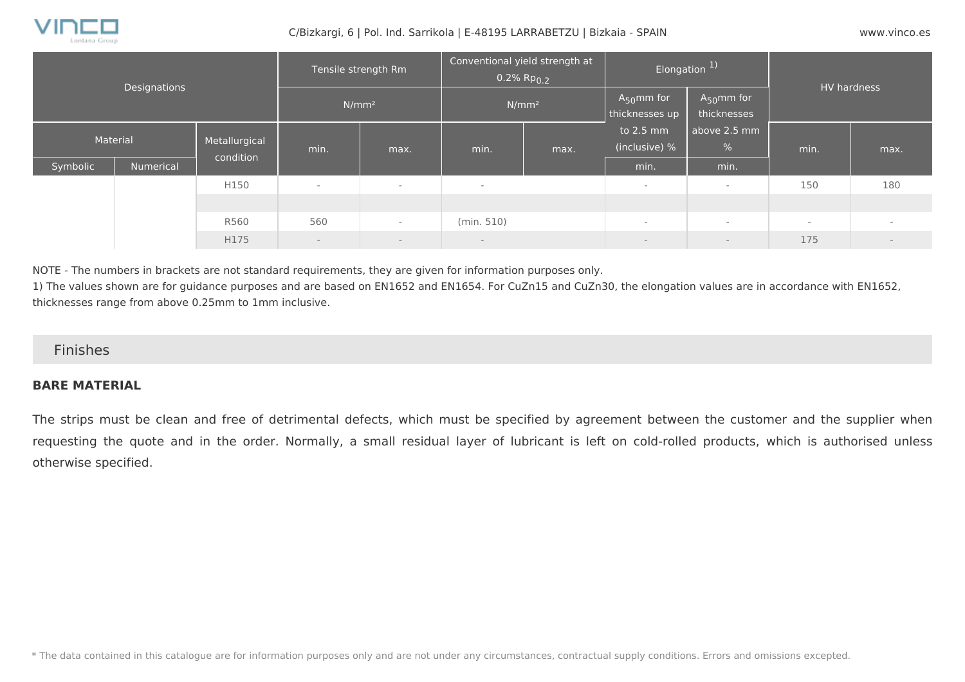

#### C/Bizkargi, 6 | Pol. Ind. Sarrikola | E-48195 LARRABETZU | Bizkaia - SPAIN www.vinco.es

| <b>Designations</b> |           | Tensile strength Rm<br>N/mm <sup>2</sup> |                          | Conventional yield strength at<br>$0.2\%$ Rp <sub>0.2</sub><br>N/mm <sup>2</sup> |                | Elongation <sup>1)</sup>          |                                | HV hardness          |        |        |
|---------------------|-----------|------------------------------------------|--------------------------|----------------------------------------------------------------------------------|----------------|-----------------------------------|--------------------------------|----------------------|--------|--------|
|                     |           |                                          |                          |                                                                                  |                | $A_{50}$ mm for<br>thicknesses up | $A_{50}$ mm for<br>thicknesses |                      |        |        |
| Material            |           | Metallurgical                            | min.                     | max.                                                                             | min.           | max.                              | to 2.5 mm<br>(inclusive) %     | above 2.5 mm<br>$\%$ | min.   | max.   |
| Symbolic            | Numerical | condition                                |                          |                                                                                  |                |                                   | min.                           | min.                 |        |        |
|                     |           | H150                                     | $\overline{a}$           | $\overline{\phantom{a}}$                                                         | $\overline{a}$ |                                   | $\overline{\phantom{a}}$       | $\sim$               | 150    | 180    |
|                     |           |                                          |                          |                                                                                  |                |                                   |                                |                      |        |        |
|                     |           | R560                                     | 560                      | $\sim$                                                                           | (min. 510)     |                                   | $\overline{\phantom{a}}$       | $\sim$               | $\sim$ | $\sim$ |
|                     |           | H175                                     | $\overline{\phantom{a}}$ | $-$                                                                              | $-$            |                                   | $\qquad \qquad -$              | $-$                  | 175    | $\sim$ |

NOTE - The numbers in brackets are not standard requirements, they are given for information purposes only.

1) The values shown are for guidance purposes and are based on EN1652 and EN1654. For CuZn15 and CuZn30, the elongation values are in accordance with EN1652, thicknesses range from above 0.25mm to 1mm inclusive.

#### Finishes

#### **BARE MATERIAL**

The strips must be clean and free of detrimental defects, which must be specified by agreement between the customer and the supplier when requesting the quote and in the order. Normally, a small residual layer of lubricant is left on cold-rolled products, which is authorised unless otherwise specified.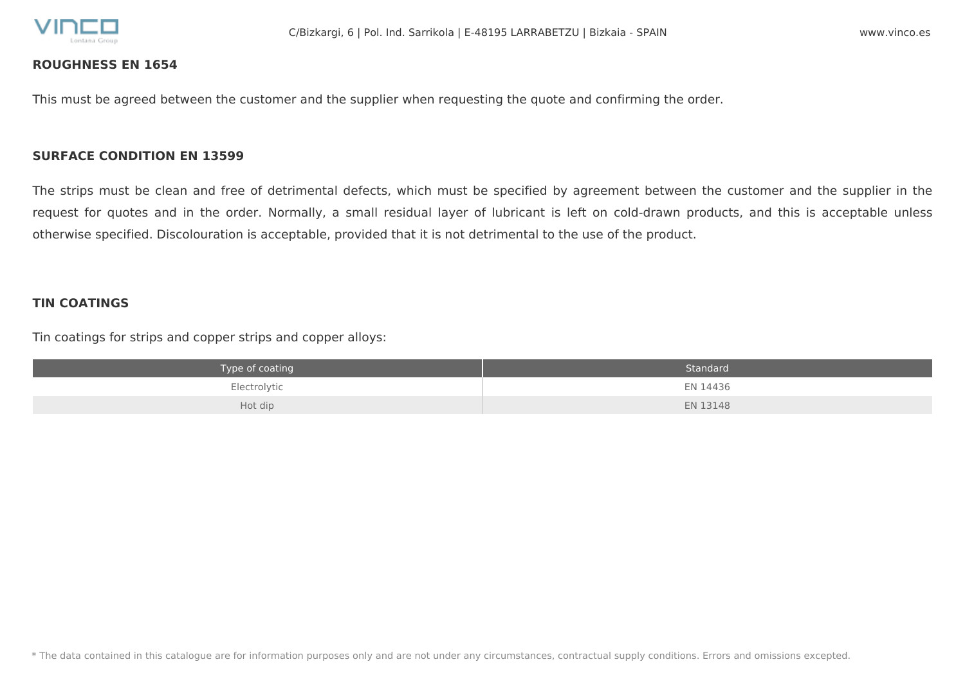

#### **ROUGHNESS EN 1654**

This must be agreed between the customer and the supplier when requesting the quote and confirming the order.

#### **SURFACE CONDITION EN 13599**

The strips must be clean and free of detrimental defects, which must be specified by agreement between the customer and the supplier in the request for quotes and in the order. Normally, a small residual layer of lubricant is left on cold-drawn products, and this is acceptable unless otherwise specified. Discolouration is acceptable, provided that it is not detrimental to the use of the product.

#### **TIN COATINGS**

Tin coatings for strips and copper strips and copper alloys:

| Type of coating | Standard |
|-----------------|----------|
| Electrolytic    | EN 14436 |
| Hot dip         | EN 13148 |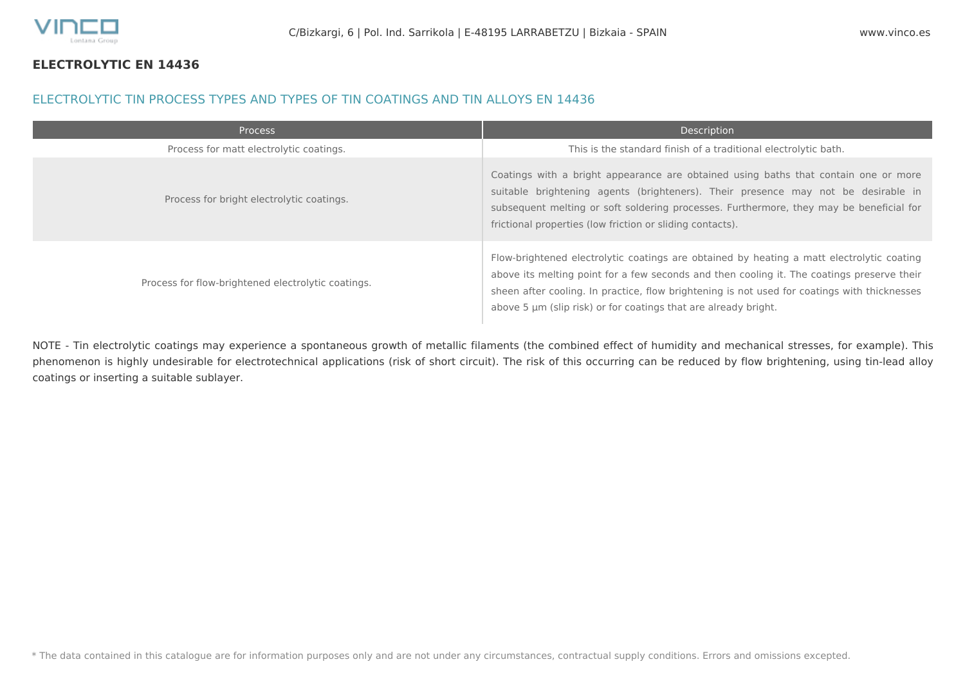

#### **ELECTROLYTIC EN 14436**

#### ELECTROLYTIC TIN PROCESS TYPES AND TYPES OF TIN COATINGS AND TIN ALLOYS EN 14436

| Process                                            | Description                                                                                                                                                                                                                                                                                                                                                |
|----------------------------------------------------|------------------------------------------------------------------------------------------------------------------------------------------------------------------------------------------------------------------------------------------------------------------------------------------------------------------------------------------------------------|
| Process for matt electrolytic coatings.            | This is the standard finish of a traditional electrolytic bath.                                                                                                                                                                                                                                                                                            |
| Process for bright electrolytic coatings.          | Coatings with a bright appearance are obtained using baths that contain one or more<br>suitable brightening agents (brighteners). Their presence may not be desirable in<br>subsequent melting or soft soldering processes. Furthermore, they may be beneficial for<br>frictional properties (low friction or sliding contacts).                           |
| Process for flow-brightened electrolytic coatings. | Flow-brightened electrolytic coatings are obtained by heating a matt electrolytic coating<br>above its melting point for a few seconds and then cooling it. The coatings preserve their<br>sheen after cooling. In practice, flow brightening is not used for coatings with thicknesses<br>above 5 um (slip risk) or for coatings that are already bright. |

NOTE - Tin electrolytic coatings may experience a spontaneous growth of metallic filaments (the combined effect of humidity and mechanical stresses, for example). This phenomenon is highly undesirable for electrotechnical applications (risk of short circuit). The risk of this occurring can be reduced by flow brightening, using tin-lead alloy coatings or inserting a suitable sublayer.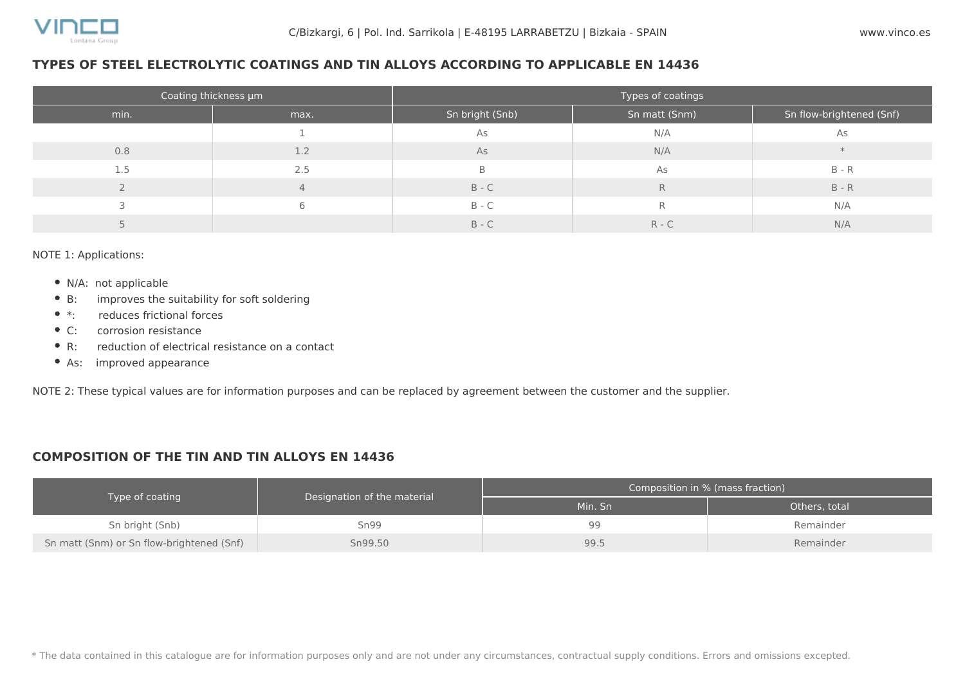#### **TYPES OF STEEL ELECTROLYTIC COATINGS AND TIN ALLOYS ACCORDING TO APPLICABLE EN 14436**

|      | Coating thickness µm | Types of coatings |               |                          |  |  |  |
|------|----------------------|-------------------|---------------|--------------------------|--|--|--|
| min. | max.                 | Sn bright (Snb)   | Sn matt (Snm) | Sn flow-brightened (Snf) |  |  |  |
|      |                      | As                | N/A           | As                       |  |  |  |
| 0.8  | 1.2                  | As                | N/A           |                          |  |  |  |
| 1.5  | 2.5                  | B                 | As            | $B - R$                  |  |  |  |
|      | 4                    | $B - C$           | R             | $B - R$                  |  |  |  |
|      | 6                    | $B - C$           | R             | N/A                      |  |  |  |
|      |                      | $B - C$           | $R - C$       | N/A                      |  |  |  |

NOTE 1: Applications:

- N/A: not applicable
- B: improves the suitability for soft soldering
- $\bullet$  \*: reduces frictional forces
- C: corrosion resistance
- R: reduction of electrical resistance on a contact
- As: improved appearance

NOTE 2: These typical values are for information purposes and can be replaced by agreement between the customer and the supplier.

#### **COMPOSITION OF THE TIN AND TIN ALLOYS EN 14436**

|                                           |                             | Composition in % (mass fraction) |               |  |  |
|-------------------------------------------|-----------------------------|----------------------------------|---------------|--|--|
| Type of coating                           | Designation of the material | Min. Sn                          | Others, total |  |  |
| Sn bright (Snb)                           | Sn99                        | 99                               | Remainder     |  |  |
| Sn matt (Snm) or Sn flow-brightened (Snf) | Sn99.50                     | 99.5                             | Remainder     |  |  |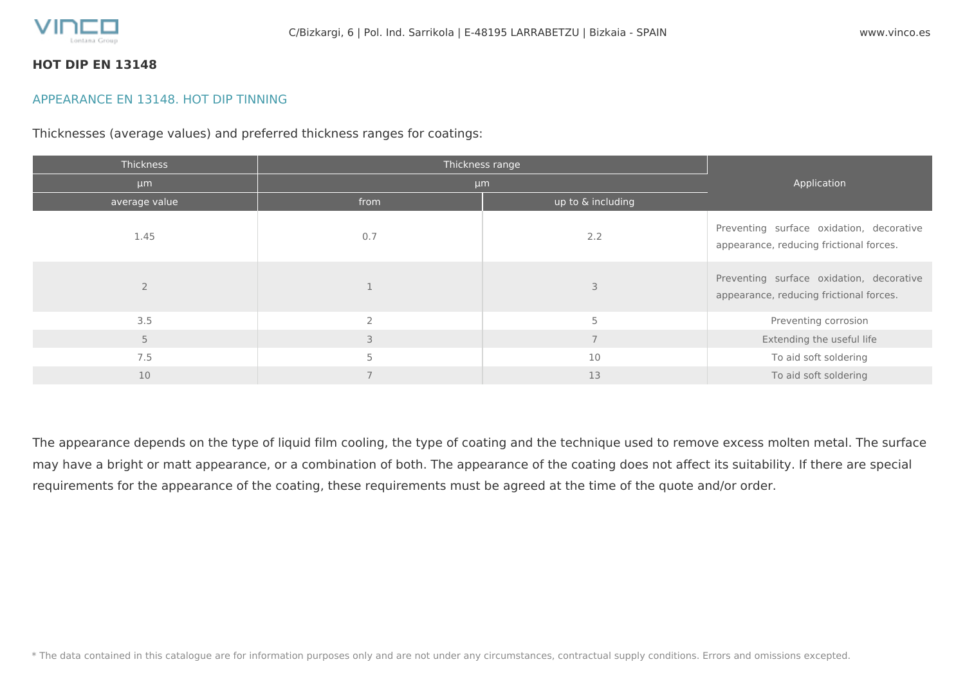

#### **HOT DIP EN 13148**

#### APPEARANCE EN 13148. HOT DIP TINNING

Thicknesses (average values) and preferred thickness ranges for coatings:

| Thickness     | Thickness range |                   |                                                                                     |  |
|---------------|-----------------|-------------------|-------------------------------------------------------------------------------------|--|
| µm            | µm              | Application       |                                                                                     |  |
| average value | from            | up to & including |                                                                                     |  |
| 1.45          | 0.7             | 2.2               | Preventing surface oxidation, decorative<br>appearance, reducing frictional forces. |  |
|               |                 |                   | Preventing surface oxidation, decorative<br>appearance, reducing frictional forces. |  |
| 3.5           | $\bigcap$       | 5                 | Preventing corrosion                                                                |  |
| 5             | 3               |                   | Extending the useful life                                                           |  |
| 7.5           |                 | 10                | To aid soft soldering                                                               |  |
| 10            |                 | 13                | To aid soft soldering                                                               |  |

The appearance depends on the type of liquid film cooling, the type of coating and the technique used to remove excess molten metal. The surface may have a bright or matt appearance, or a combination of both. The appearance of the coating does not affect its suitability. If there are special requirements for the appearance of the coating, these requirements must be agreed at the time of the quote and/or order.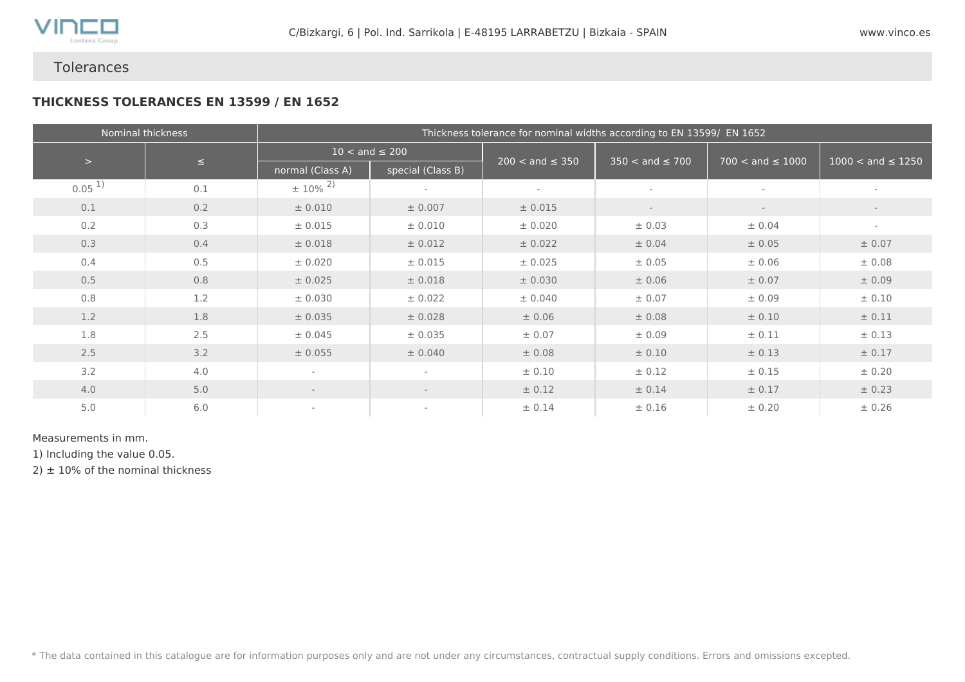

## Tolerances

#### **THICKNESS TOLERANCES EN 13599 / EN 1652**

|            | Nominal thickness |                          |                           | Thickness tolerance for nominal widths according to EN 13599/ EN 1652 |                          |                         |                              |  |  |
|------------|-------------------|--------------------------|---------------------------|-----------------------------------------------------------------------|--------------------------|-------------------------|------------------------------|--|--|
|            | $\leq$            |                          | $10 < \text{and} \le 200$ |                                                                       |                          |                         |                              |  |  |
| $\,>$      |                   | normal (Class A)         | special (Class B)         | $200 < \text{and} \leq 350$                                           | $350 < and \le 700$      | $700 <$ and $\leq 1000$ | $1000 < \text{and} \le 1250$ |  |  |
| $0.05^{1}$ | 0.1               | $\pm 10\%$ <sup>2)</sup> | $\sim$                    | $\overline{\phantom{a}}$                                              | $\sim$                   | $\sim$                  | $\sim$                       |  |  |
| 0.1        | 0.2               | ± 0.010                  | ± 0.007                   | ± 0.015                                                               | $\overline{\phantom{a}}$ | $\sim$                  | $\sim$                       |  |  |
| 0.2        | 0.3               | ± 0.015                  | ± 0.010                   | ± 0.020                                                               | ± 0.03                   | ± 0.04                  | $\sim$                       |  |  |
| 0.3        | 0.4               | ± 0.018                  | ± 0.012                   | ± 0.022                                                               | ± 0.04                   | ± 0.05                  | ± 0.07                       |  |  |
| 0.4        | 0.5               | ± 0.020                  | ± 0.015                   | ± 0.025                                                               | ± 0.05                   | ± 0.06                  | ± 0.08                       |  |  |
| 0.5        | 0.8               | ± 0.025                  | ± 0.018                   | ± 0.030                                                               | ± 0.06                   | ± 0.07                  | ± 0.09                       |  |  |
| 0.8        | 1.2               | ± 0.030                  | ± 0.022                   | ± 0.040                                                               | ± 0.07                   | ± 0.09                  | ± 0.10                       |  |  |
| 1.2        | 1.8               | ± 0.035                  | ± 0.028                   | ± 0.06                                                                | ± 0.08                   | ± 0.10                  | ± 0.11                       |  |  |
| 1.8        | 2.5               | ± 0.045                  | ± 0.035                   | ± 0.07                                                                | ± 0.09                   | ± 0.11                  | ± 0.13                       |  |  |
| 2.5        | 3.2               | ± 0.055                  | ± 0.040                   | ± 0.08                                                                | ± 0.10                   | ± 0.13                  | ± 0.17                       |  |  |
| 3.2        | 4.0               | $\overline{\phantom{a}}$ | $\overline{\phantom{a}}$  | ± 0.10                                                                | ± 0.12                   | ± 0.15                  | ± 0.20                       |  |  |
| 4.0        | 5.0               | $\overline{\phantom{a}}$ | $\sim$                    | ± 0.12                                                                | ± 0.14                   | ± 0.17                  | ± 0.23                       |  |  |
| 5.0        | 6.0               | $\sim$                   | $\sim$                    | ± 0.14                                                                | ± 0.16                   | ± 0.20                  | ± 0.26                       |  |  |

#### Measurements in mm.

1) Including the value 0.05.

 $2) \pm 10\%$  of the nominal thickness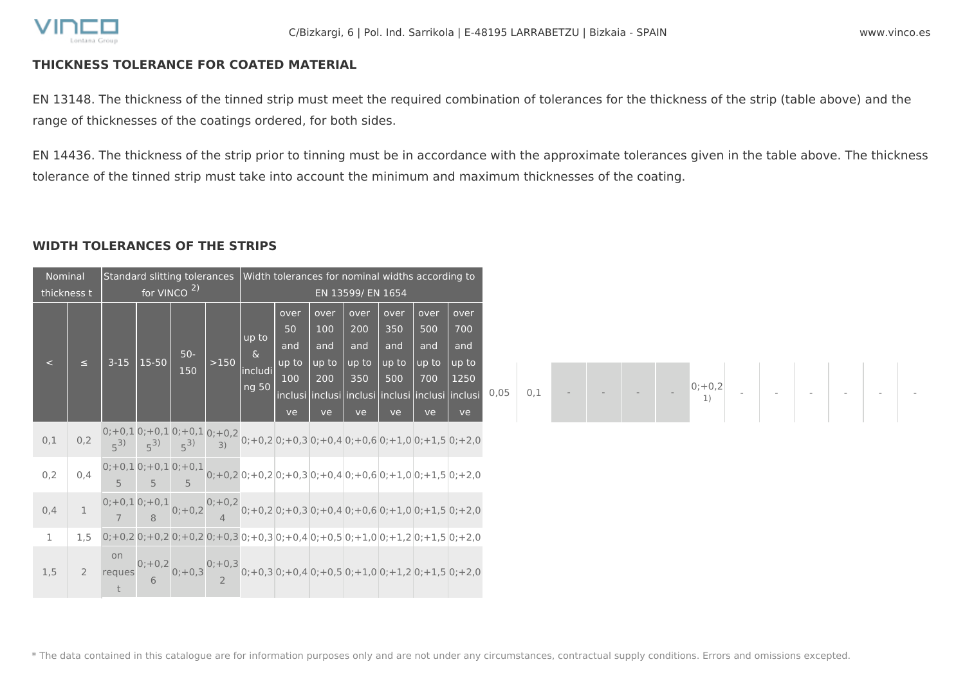

#### **THICKNESS TOLERANCE FOR COATED MATERIAL**

EN 13148. The thickness of the tinned strip must meet the required combination of tolerances for the thickness of the strip (table above) and the range of thicknesses of the coatings ordered, for both sides.

EN 14436. The thickness of the strip prior to tinning must be in accordance with the approximate tolerances given in the table above. The thickness tolerance of the tinned strip must take into account the minimum and maximum thicknesses of the coating.

### **WIDTH TOLERANCES OF THE STRIPS**

| Nominal      | thickness t |                                                                                           | Standard slitting tolerances<br>for VINCO $2$ ) |              |        |                                       |                                         | Width tolerances for nominal widths according to | EN 13599/ EN 1654                        |                                          |                                          |                                                                                                                |   |
|--------------|-------------|-------------------------------------------------------------------------------------------|-------------------------------------------------|--------------|--------|---------------------------------------|-----------------------------------------|--------------------------------------------------|------------------------------------------|------------------------------------------|------------------------------------------|----------------------------------------------------------------------------------------------------------------|---|
| $\epsilon$   | $\leq$      |                                                                                           | $3-15$   15-50                                  | $50-$<br>150 | $>150$ | up to<br>$\delta$<br>includi<br>ng 50 | over<br>50<br>and<br>up to<br>100<br>ve | over<br>100<br>and<br>up to<br>200<br>ve         | over<br>200<br>and<br>up to<br>350<br>ve | over<br>350<br>and<br>up to<br>500<br>ve | over<br>500<br>and<br>up to<br>700<br>ve | over<br>700<br>and<br>up to<br>1250<br>inclusi inclusi inclusi inclusi inclusi inclusi<br>ve                   | 0 |
| $0,1$        |             |                                                                                           |                                                 |              |        |                                       |                                         |                                                  |                                          |                                          |                                          | 0,2 $\frac{0;+0,1}{5^3}$ 0; +0,1 0; +0,1 0; +0,2 0; +0,2 0; +0,3 0; +0,4 0; +0,6 0; +1,0 0; +1,5 0; +2,0       |   |
| 0,2          | 0,4         |                                                                                           |                                                 |              |        |                                       |                                         |                                                  |                                          |                                          |                                          | 0;+0,1 0;+0,1 0;+0,1 0;+0,2 0;+0,2 0;+0,3 0;+0,4 0;+0,6 0;+1,0 0;+1,5 0;+2,0                                   |   |
| 0,4          |             |                                                                                           |                                                 |              |        |                                       |                                         |                                                  |                                          |                                          |                                          | 1 $0;+0,1$ 0; +0,1 $0;+0,2$ 0; +0,2 0; +0,2 0; +0,3 0; +0,4 0; +0,6 0; +1,0 0; +1,5 0; +2,0                    |   |
| $\mathbf{1}$ | 1,5         | $0;+0,2]$ 0; +0,2 0; +0,2 0; +0,3 0; +0,3 0; +0,4 0; +0,5 0; +1,0 0; +1,2 0; +1,5 0; +2,0 |                                                 |              |        |                                       |                                         |                                                  |                                          |                                          |                                          |                                                                                                                |   |
| 1,5          |             |                                                                                           |                                                 |              |        |                                       |                                         |                                                  |                                          |                                          |                                          | 2 reques $\frac{0;+0.2}{6}$ 0; +0,3 $\frac{0;+0.3}{2}$ 0; +0,3 0; +0,4 0; +0,5 0; +1,0 0; +1,2 0; +1,5 0; +2,0 |   |

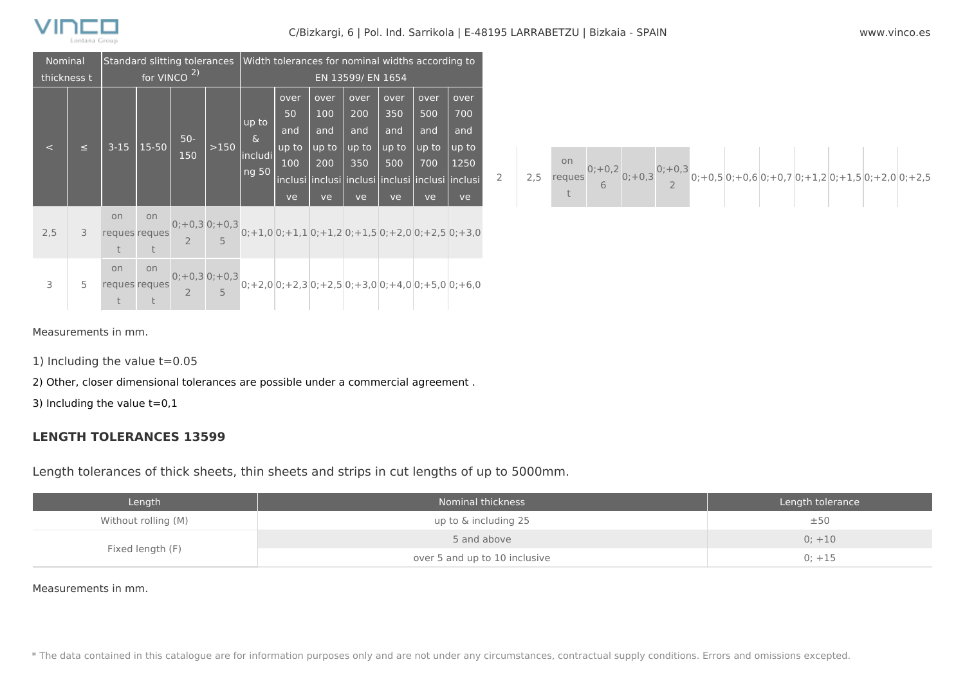

#### C/Bizkargi, 6 | Pol. Ind. Sarrikola | E-48195 LARRABETZU | Bizkaia - SPAIN www.vinco.es

| Nominal    |                                        | Standard slitting tolerances   Width tolerances for nominal widths according to |                                   |                   |        |                                                                                                                    |                                         |                                          |                                          |                                          |                                                                                             |                                           |
|------------|----------------------------------------|---------------------------------------------------------------------------------|-----------------------------------|-------------------|--------|--------------------------------------------------------------------------------------------------------------------|-----------------------------------------|------------------------------------------|------------------------------------------|------------------------------------------|---------------------------------------------------------------------------------------------|-------------------------------------------|
|            | for VINCO <sup>2)</sup><br>thickness t |                                                                                 |                                   | EN 13599/ EN 1654 |        |                                                                                                                    |                                         |                                          |                                          |                                          |                                                                                             |                                           |
| $\epsilon$ | $\leq$                                 | $3 - 15$                                                                        | $15-50$                           | $50-$<br>150      | $>150$ | up to<br>୍ଧ<br>includi<br>ng 50                                                                                    | over<br>50<br>and<br>up to<br>100<br>ve | over<br>100<br>and<br>up to<br>200<br>ve | over<br>200<br>and<br>up to<br>350<br>ve | over<br>350<br>and<br>up to<br>500<br>ve | over<br>500<br>and<br>up to<br>700<br>inclusi inclusi inclusi inclusi inclusi inclusi<br>ve | over<br>700<br>and<br>up to<br>1250<br>ve |
| 2,5        | 3                                      | on<br>t                                                                         | on<br>reques reques<br>$\ddagger$ |                   |        | 0;+0,3 0;+0,3<br>0;+1,0 0;+1,1 0;+1,2 0;+1,5 0;+2,0 0;+2,5 0;+3,0<br>2 5                                           |                                         |                                          |                                          |                                          |                                                                                             |                                           |
| 3          | 5                                      | on                                                                              | on<br>reques reques               |                   |        | $\begin{array}{c c} 0;+0,3 & 0;+0,3 \\ 2 & 5 & 0;+2,0 \end{array}$ 0; +2,3 0; +2,5 0; +3,0 0; +4,0 0; +5,0 0; +6,0 |                                         |                                          |                                          |                                          |                                                                                             |                                           |



Measurements in mm.

1) Including the value t=0.05

2) Other, closer dimensional tolerances are possible under a commercial agreement .

3) Including the value  $t=0,1$ 

#### **LENGTH TOLERANCES 13599**

Length tolerances of thick sheets, thin sheets and strips in cut lengths of up to 5000mm.

| Length              | Nominal thickness             | Length tolerance |
|---------------------|-------------------------------|------------------|
| Without rolling (M) | up to & including 25          | ±50              |
| Fixed length (F)    | 5 and above                   | $0; +10$         |
|                     | over 5 and up to 10 inclusive | $0; +15$         |

#### Measurements in mm.